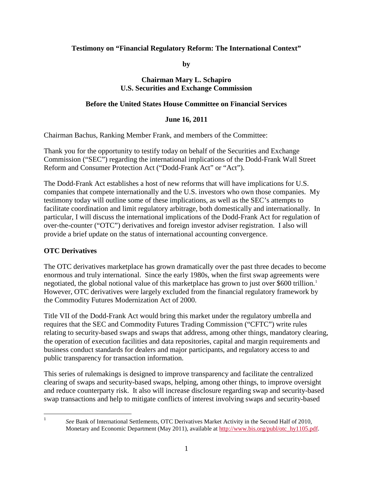### **Testimony on "Financial Regulatory Reform: The International Context"**

**by**

### **Chairman Mary L. Schapiro U.S. Securities and Exchange Commission**

### **Before the United States House Committee on Financial Services**

#### **June 16, 2011**

Chairman Bachus, Ranking Member Frank, and members of the Committee:

Thank you for the opportunity to testify today on behalf of the Securities and Exchange Commission ("SEC") regarding the international implications of the Dodd-Frank Wall Street Reform and Consumer Protection Act ("Dodd-Frank Act" or "Act").

The Dodd-Frank Act establishes a host of new reforms that will have implications for U.S. companies that compete internationally and the U.S. investors who own those companies. My testimony today will outline some of these implications, as well as the SEC's attempts to facilitate coordination and limit regulatory arbitrage, both domestically and internationally. In particular, I will discuss the international implications of the Dodd-Frank Act for regulation of over-the-counter ("OTC") derivatives and foreign investor adviser registration. I also will provide a brief update on the status of international accounting convergence.

### **OTC Derivatives**

The OTC derivatives marketplace has grown dramatically over the past three decades to become enormous and truly international. Since the early 1980s, when the first swap agreements were negotiated, the global notional value of this marketplace has grown to just over \$600 trillion. [1](#page-0-0) However, OTC derivatives were largely excluded from the financial regulatory framework by the Commodity Futures Modernization Act of 2000.

Title VII of the Dodd-Frank Act would bring this market under the regulatory umbrella and requires that the SEC and Commodity Futures Trading Commission ("CFTC") write rules relating to security-based swaps and swaps that address, among other things, mandatory clearing, the operation of execution facilities and data repositories, capital and margin requirements and business conduct standards for dealers and major participants, and regulatory access to and public transparency for transaction information.

This series of rulemakings is designed to improve transparency and facilitate the centralized clearing of swaps and security-based swaps, helping, among other things, to improve oversight and reduce counterparty risk. It also will increase disclosure regarding swap and security-based swap transactions and help to mitigate conflicts of interest involving swaps and security-based

<span id="page-0-0"></span>

<sup>&</sup>lt;sup>1</sup> *See* Bank of International Settlements, OTC Derivatives Market Activity in the Second Half of 2010, Monetary and Economic Department (May 2011), available at [http://www.bis.org/publ/otc\\_hy1105.pdf.](http://www.bis.org/publ/otc_hy1105.pdf)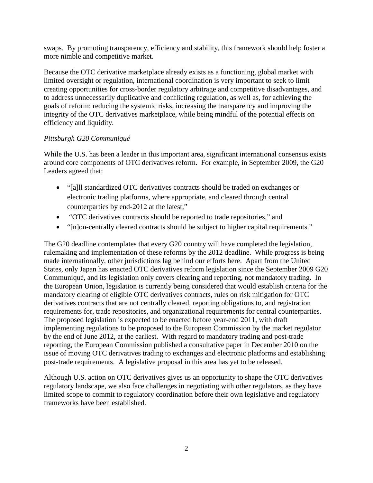swaps. By promoting transparency, efficiency and stability, this framework should help foster a more nimble and competitive market.

Because the OTC derivative marketplace already exists as a functioning, global market with limited oversight or regulation, international coordination is very important to seek to limit creating opportunities for cross-border regulatory arbitrage and competitive disadvantages, and to address unnecessarily duplicative and conflicting regulation, as well as, for achieving the goals of reform: reducing the systemic risks, increasing the transparency and improving the integrity of the OTC derivatives marketplace, while being mindful of the potential effects on efficiency and liquidity.

# *Pittsburgh G20 Communiqué*

While the U.S. has been a leader in this important area, significant international consensus exists around core components of OTC derivatives reform. For example, in September 2009, the G20 Leaders agreed that:

- "[a]ll standardized OTC derivatives contracts should be traded on exchanges or electronic trading platforms, where appropriate, and cleared through central counterparties by end-2012 at the latest,"
- "OTC derivatives contracts should be reported to trade repositories," and
- "[n]on-centrally cleared contracts should be subject to higher capital requirements."

The G20 deadline contemplates that every G20 country will have completed the legislation, rulemaking and implementation of these reforms by the 2012 deadline. While progress is being made internationally, other jurisdictions lag behind our efforts here. Apart from the United States, only Japan has enacted OTC derivatives reform legislation since the September 2009 G20 Communiqué, and its legislation only covers clearing and reporting, not mandatory trading. In the European Union, legislation is currently being considered that would establish criteria for the mandatory clearing of eligible OTC derivatives contracts, rules on risk mitigation for OTC derivatives contracts that are not centrally cleared, reporting obligations to, and registration requirements for, trade repositories, and organizational requirements for central counterparties. The proposed legislation is expected to be enacted before year-end 2011, with draft implementing regulations to be proposed to the European Commission by the market regulator by the end of June 2012, at the earliest. With regard to mandatory trading and post-trade reporting, the European Commission published a consultative paper in December 2010 on the issue of moving OTC derivatives trading to exchanges and electronic platforms and establishing post-trade requirements. A legislative proposal in this area has yet to be released.

Although U.S. action on OTC derivatives gives us an opportunity to shape the OTC derivatives regulatory landscape, we also face challenges in negotiating with other regulators, as they have limited scope to commit to regulatory coordination before their own legislative and regulatory frameworks have been established.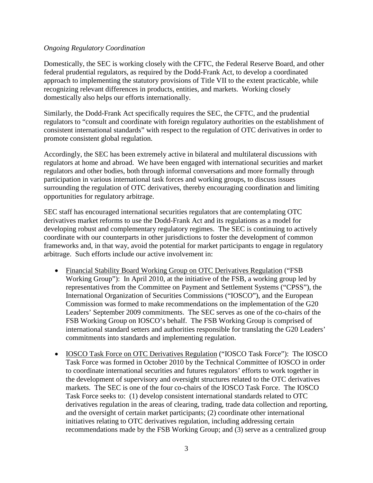#### *Ongoing Regulatory Coordination*

Domestically, the SEC is working closely with the CFTC, the Federal Reserve Board, and other federal prudential regulators, as required by the Dodd-Frank Act, to develop a coordinated approach to implementing the statutory provisions of Title VII to the extent practicable, while recognizing relevant differences in products, entities, and markets. Working closely domestically also helps our efforts internationally.

Similarly, the Dodd-Frank Act specifically requires the SEC, the CFTC, and the prudential regulators to "consult and coordinate with foreign regulatory authorities on the establishment of consistent international standards" with respect to the regulation of OTC derivatives in order to promote consistent global regulation.

Accordingly, the SEC has been extremely active in bilateral and multilateral discussions with regulators at home and abroad. We have been engaged with international securities and market regulators and other bodies, both through informal conversations and more formally through participation in various international task forces and working groups, to discuss issues surrounding the regulation of OTC derivatives, thereby encouraging coordination and limiting opportunities for regulatory arbitrage.

SEC staff has encouraged international securities regulators that are contemplating OTC derivatives market reforms to use the Dodd-Frank Act and its regulations as a model for developing robust and complementary regulatory regimes. The SEC is continuing to actively coordinate with our counterparts in other jurisdictions to foster the development of common frameworks and, in that way, avoid the potential for market participants to engage in regulatory arbitrage. Such efforts include our active involvement in:

- Financial Stability Board Working Group on OTC Derivatives Regulation ("FSB Working Group"): In April 2010, at the initiative of the FSB, a working group led by representatives from the Committee on Payment and Settlement Systems ("CPSS"), the International Organization of Securities Commissions ("IOSCO"), and the European Commission was formed to make recommendations on the implementation of the G20 Leaders' September 2009 commitments. The SEC serves as one of the co-chairs of the FSB Working Group on IOSCO's behalf. The FSB Working Group is comprised of international standard setters and authorities responsible for translating the G20 Leaders' commitments into standards and implementing regulation.
- IOSCO Task Force on OTC Derivatives Regulation ("IOSCO Task Force"): The IOSCO Task Force was formed in October 2010 by the Technical Committee of IOSCO in order to coordinate international securities and futures regulators' efforts to work together in the development of supervisory and oversight structures related to the OTC derivatives markets. The SEC is one of the four co-chairs of the IOSCO Task Force. The IOSCO Task Force seeks to: (1) develop consistent international standards related to OTC derivatives regulation in the areas of clearing, trading, trade data collection and reporting, and the oversight of certain market participants; (2) coordinate other international initiatives relating to OTC derivatives regulation, including addressing certain recommendations made by the FSB Working Group; and (3) serve as a centralized group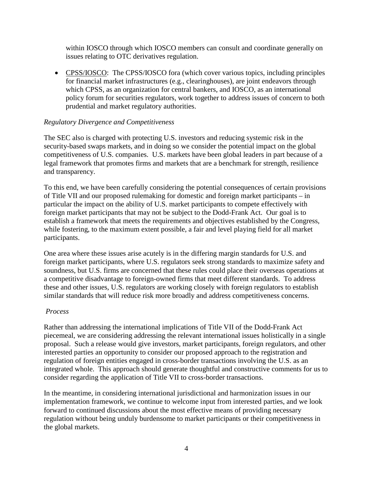within IOSCO through which IOSCO members can consult and coordinate generally on issues relating to OTC derivatives regulation.

• CPSS/IOSCO: The CPSS/IOSCO fora (which cover various topics, including principles for financial market infrastructures (e.g., clearinghouses), are joint endeavors through which CPSS, as an organization for central bankers, and IOSCO, as an international policy forum for securities regulators, work together to address issues of concern to both prudential and market regulatory authorities.

### *Regulatory Divergence and Competitiveness*

The SEC also is charged with protecting U.S. investors and reducing systemic risk in the security-based swaps markets, and in doing so we consider the potential impact on the global competitiveness of U.S. companies. U.S. markets have been global leaders in part because of a legal framework that promotes firms and markets that are a benchmark for strength, resilience and transparency.

To this end, we have been carefully considering the potential consequences of certain provisions of Title VII and our proposed rulemaking for domestic and foreign market participants – in particular the impact on the ability of U.S. market participants to compete effectively with foreign market participants that may not be subject to the Dodd-Frank Act. Our goal is to establish a framework that meets the requirements and objectives established by the Congress, while fostering, to the maximum extent possible, a fair and level playing field for all market participants.

One area where these issues arise acutely is in the differing margin standards for U.S. and foreign market participants, where U.S. regulators seek strong standards to maximize safety and soundness, but U.S. firms are concerned that these rules could place their overseas operations at a competitive disadvantage to foreign-owned firms that meet different standards. To address these and other issues, U.S. regulators are working closely with foreign regulators to establish similar standards that will reduce risk more broadly and address competitiveness concerns.

### *Process*

Rather than addressing the international implications of Title VII of the Dodd-Frank Act piecemeal, we are considering addressing the relevant international issues holistically in a single proposal. Such a release would give investors, market participants, foreign regulators, and other interested parties an opportunity to consider our proposed approach to the registration and regulation of foreign entities engaged in cross-border transactions involving the U.S. as an integrated whole. This approach should generate thoughtful and constructive comments for us to consider regarding the application of Title VII to cross-border transactions.

In the meantime, in considering international jurisdictional and harmonization issues in our implementation framework, we continue to welcome input from interested parties, and we look forward to continued discussions about the most effective means of providing necessary regulation without being unduly burdensome to market participants or their competitiveness in the global markets.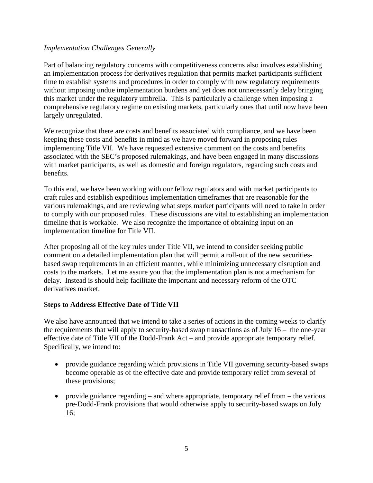### *Implementation Challenges Generally*

Part of balancing regulatory concerns with competitiveness concerns also involves establishing an implementation process for derivatives regulation that permits market participants sufficient time to establish systems and procedures in order to comply with new regulatory requirements without imposing undue implementation burdens and yet does not unnecessarily delay bringing this market under the regulatory umbrella. This is particularly a challenge when imposing a comprehensive regulatory regime on existing markets, particularly ones that until now have been largely unregulated.

We recognize that there are costs and benefits associated with compliance, and we have been keeping these costs and benefits in mind as we have moved forward in proposing rules implementing Title VII. We have requested extensive comment on the costs and benefits associated with the SEC's proposed rulemakings, and have been engaged in many discussions with market participants, as well as domestic and foreign regulators, regarding such costs and benefits.

To this end, we have been working with our fellow regulators and with market participants to craft rules and establish expeditious implementation timeframes that are reasonable for the various rulemakings, and are reviewing what steps market participants will need to take in order to comply with our proposed rules. These discussions are vital to establishing an implementation timeline that is workable. We also recognize the importance of obtaining input on an implementation timeline for Title VII.

After proposing all of the key rules under Title VII, we intend to consider seeking public comment on a detailed implementation plan that will permit a roll-out of the new securitiesbased swap requirements in an efficient manner, while minimizing unnecessary disruption and costs to the markets. Let me assure you that the implementation plan is not a mechanism for delay. Instead is should help facilitate the important and necessary reform of the OTC derivatives market.

### **Steps to Address Effective Date of Title VII**

We also have announced that we intend to take a series of actions in the coming weeks to clarify the requirements that will apply to security-based swap transactions as of July 16 – the one-year effective date of Title VII of the Dodd-Frank Act – and provide appropriate temporary relief. Specifically, we intend to:

- provide guidance regarding which provisions in Title VII governing security-based swaps become operable as of the effective date and provide temporary relief from several of these provisions;
- provide guidance regarding and where appropriate, temporary relief from  $-$  the various pre-Dodd-Frank provisions that would otherwise apply to security-based swaps on July 16;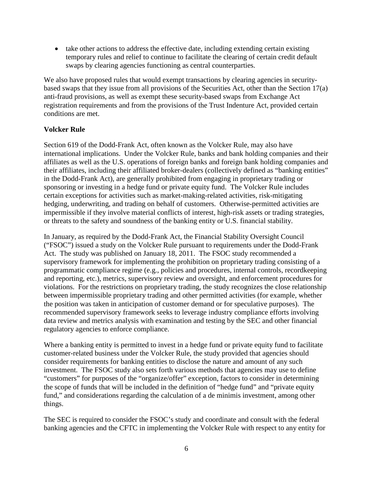• take other actions to address the effective date, including extending certain existing temporary rules and relief to continue to facilitate the clearing of certain credit default swaps by clearing agencies functioning as central counterparties.

We also have proposed rules that would exempt transactions by clearing agencies in securitybased swaps that they issue from all provisions of the Securities Act, other than the Section 17(a) anti-fraud provisions, as well as exempt these security-based swaps from Exchange Act registration requirements and from the provisions of the Trust Indenture Act, provided certain conditions are met.

# **Volcker Rule**

Section 619 of the Dodd-Frank Act, often known as the Volcker Rule, may also have international implications. Under the Volcker Rule, banks and bank holding companies and their affiliates as well as the U.S. operations of foreign banks and foreign bank holding companies and their affiliates, including their affiliated broker-dealers (collectively defined as "banking entities" in the Dodd-Frank Act), are generally prohibited from engaging in proprietary trading or sponsoring or investing in a hedge fund or private equity fund. The Volcker Rule includes certain exceptions for activities such as market-making-related activities, risk-mitigating hedging, underwriting, and trading on behalf of customers. Otherwise-permitted activities are impermissible if they involve material conflicts of interest, high-risk assets or trading strategies, or threats to the safety and soundness of the banking entity or U.S. financial stability.

In January, as required by the Dodd-Frank Act, the Financial Stability Oversight Council ("FSOC") issued a study on the Volcker Rule pursuant to requirements under the Dodd-Frank Act. The study was published on January 18, 2011. The FSOC study recommended a supervisory framework for implementing the prohibition on proprietary trading consisting of a programmatic compliance regime (e.g., policies and procedures, internal controls, recordkeeping and reporting, etc.), metrics, supervisory review and oversight, and enforcement procedures for violations. For the restrictions on proprietary trading, the study recognizes the close relationship between impermissible proprietary trading and other permitted activities (for example, whether the position was taken in anticipation of customer demand or for speculative purposes). The recommended supervisory framework seeks to leverage industry compliance efforts involving data review and metrics analysis with examination and testing by the SEC and other financial regulatory agencies to enforce compliance.

Where a banking entity is permitted to invest in a hedge fund or private equity fund to facilitate customer-related business under the Volcker Rule, the study provided that agencies should consider requirements for banking entities to disclose the nature and amount of any such investment. The FSOC study also sets forth various methods that agencies may use to define "customers" for purposes of the "organize/offer" exception, factors to consider in determining the scope of funds that will be included in the definition of "hedge fund" and "private equity fund," and considerations regarding the calculation of a de minimis investment, among other things.

The SEC is required to consider the FSOC's study and coordinate and consult with the federal banking agencies and the CFTC in implementing the Volcker Rule with respect to any entity for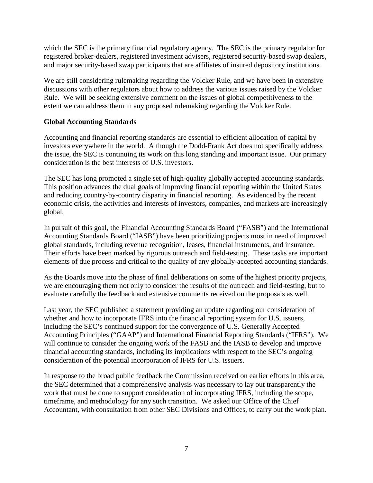which the SEC is the primary financial regulatory agency. The SEC is the primary regulator for registered broker-dealers, registered investment advisers, registered security-based swap dealers, and major security-based swap participants that are affiliates of insured depository institutions.

We are still considering rulemaking regarding the Volcker Rule, and we have been in extensive discussions with other regulators about how to address the various issues raised by the Volcker Rule. We will be seeking extensive comment on the issues of global competitiveness to the extent we can address them in any proposed rulemaking regarding the Volcker Rule.

# **Global Accounting Standards**

Accounting and financial reporting standards are essential to efficient allocation of capital by investors everywhere in the world. Although the Dodd-Frank Act does not specifically address the issue, the SEC is continuing its work on this long standing and important issue. Our primary consideration is the best interests of U.S. investors.

The SEC has long promoted a single set of high-quality globally accepted accounting standards. This position advances the dual goals of improving financial reporting within the United States and reducing country-by-country disparity in financial reporting. As evidenced by the recent economic crisis, the activities and interests of investors, companies, and markets are increasingly global.

In pursuit of this goal, the Financial Accounting Standards Board ("FASB") and the International Accounting Standards Board ("IASB") have been prioritizing projects most in need of improved global standards, including revenue recognition, leases, financial instruments, and insurance. Their efforts have been marked by rigorous outreach and field-testing. These tasks are important elements of due process and critical to the quality of any globally-accepted accounting standards.

As the Boards move into the phase of final deliberations on some of the highest priority projects, we are encouraging them not only to consider the results of the outreach and field-testing, but to evaluate carefully the feedback and extensive comments received on the proposals as well.

Last year, the SEC published a statement providing an update regarding our consideration of whether and how to incorporate IFRS into the financial reporting system for U.S. issuers, including the SEC's continued support for the convergence of U.S. Generally Accepted Accounting Principles ("GAAP") and International Financial Reporting Standards ("IFRS"). We will continue to consider the ongoing work of the FASB and the IASB to develop and improve financial accounting standards, including its implications with respect to the SEC's ongoing consideration of the potential incorporation of IFRS for U.S. issuers.

In response to the broad public feedback the Commission received on earlier efforts in this area, the SEC determined that a comprehensive analysis was necessary to lay out transparently the work that must be done to support consideration of incorporating IFRS, including the scope, timeframe, and methodology for any such transition. We asked our Office of the Chief Accountant, with consultation from other SEC Divisions and Offices, to carry out the work plan.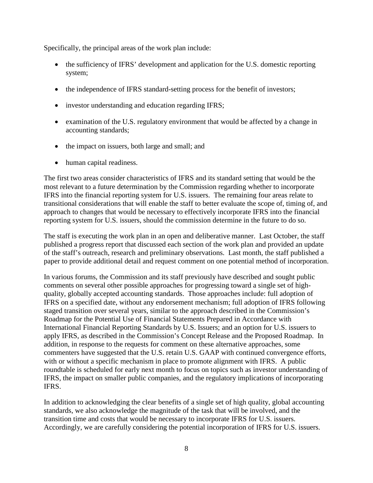Specifically, the principal areas of the work plan include:

- the sufficiency of IFRS' development and application for the U.S. domestic reporting system;
- the independence of IFRS standard-setting process for the benefit of investors;
- investor understanding and education regarding IFRS;
- examination of the U.S. regulatory environment that would be affected by a change in accounting standards;
- the impact on issuers, both large and small; and
- human capital readiness.

The first two areas consider characteristics of IFRS and its standard setting that would be the most relevant to a future determination by the Commission regarding whether to incorporate IFRS into the financial reporting system for U.S. issuers. The remaining four areas relate to transitional considerations that will enable the staff to better evaluate the scope of, timing of, and approach to changes that would be necessary to effectively incorporate IFRS into the financial reporting system for U.S. issuers, should the commission determine in the future to do so.

The staff is executing the work plan in an open and deliberative manner. Last October, the staff published a progress report that discussed each section of the work plan and provided an update of the staff's outreach, research and preliminary observations. Last month, the staff published a paper to provide additional detail and request comment on one potential method of incorporation.

In various forums, the Commission and its staff previously have described and sought public comments on several other possible approaches for progressing toward a single set of highquality, globally accepted accounting standards. Those approaches include: full adoption of IFRS on a specified date, without any endorsement mechanism; full adoption of IFRS following staged transition over several years, similar to the approach described in the Commission's Roadmap for the Potential Use of Financial Statements Prepared in Accordance with International Financial Reporting Standards by U.S. Issuers; and an option for U.S. issuers to apply IFRS, as described in the Commission's Concept Release and the Proposed Roadmap. In addition, in response to the requests for comment on these alternative approaches, some commenters have suggested that the U.S. retain U.S. GAAP with continued convergence efforts, with or without a specific mechanism in place to promote alignment with IFRS. A public roundtable is scheduled for early next month to focus on topics such as investor understanding of IFRS, the impact on smaller public companies, and the regulatory implications of incorporating IFRS.

In addition to acknowledging the clear benefits of a single set of high quality, global accounting standards, we also acknowledge the magnitude of the task that will be involved, and the transition time and costs that would be necessary to incorporate IFRS for U.S. issuers. Accordingly, we are carefully considering the potential incorporation of IFRS for U.S. issuers.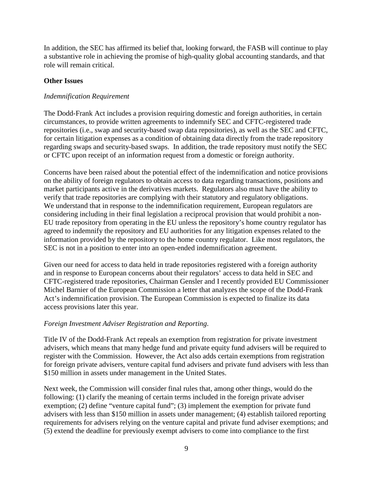In addition, the SEC has affirmed its belief that, looking forward, the FASB will continue to play a substantive role in achieving the promise of high-quality global accounting standards, and that role will remain critical.

### **Other Issues**

### *Indemnification Requirement*

The Dodd-Frank Act includes a provision requiring domestic and foreign authorities, in certain circumstances, to provide written agreements to indemnify SEC and CFTC-registered trade repositories (i.e., swap and security-based swap data repositories), as well as the SEC and CFTC, for certain litigation expenses as a condition of obtaining data directly from the trade repository regarding swaps and security-based swaps. In addition, the trade repository must notify the SEC or CFTC upon receipt of an information request from a domestic or foreign authority.

Concerns have been raised about the potential effect of the indemnification and notice provisions on the ability of foreign regulators to obtain access to data regarding transactions, positions and market participants active in the derivatives markets. Regulators also must have the ability to verify that trade repositories are complying with their statutory and regulatory obligations. We understand that in response to the indemnification requirement, European regulators are considering including in their final legislation a reciprocal provision that would prohibit a non-EU trade repository from operating in the EU unless the repository's home country regulator has agreed to indemnify the repository and EU authorities for any litigation expenses related to the information provided by the repository to the home country regulator. Like most regulators, the SEC is not in a position to enter into an open-ended indemnification agreement.

Given our need for access to data held in trade repositories registered with a foreign authority and in response to European concerns about their regulators' access to data held in SEC and CFTC-registered trade repositories, Chairman Gensler and I recently provided EU Commissioner Michel Barnier of the European Commission a letter that analyzes the scope of the Dodd-Frank Act's indemnification provision. The European Commission is expected to finalize its data access provisions later this year.

### *Foreign Investment Adviser Registration and Reporting*.

Title IV of the Dodd-Frank Act repeals an exemption from registration for private investment advisers, which means that many hedge fund and private equity fund advisers will be required to register with the Commission. However, the Act also adds certain exemptions from registration for foreign private advisers, venture capital fund advisers and private fund advisers with less than \$150 million in assets under management in the United States.

Next week, the Commission will consider final rules that, among other things, would do the following: (1) clarify the meaning of certain terms included in the foreign private adviser exemption; (2) define "venture capital fund"; (3) implement the exemption for private fund advisers with less than \$150 million in assets under management; (4) establish tailored reporting requirements for advisers relying on the venture capital and private fund adviser exemptions; and (5) extend the deadline for previously exempt advisers to come into compliance to the first